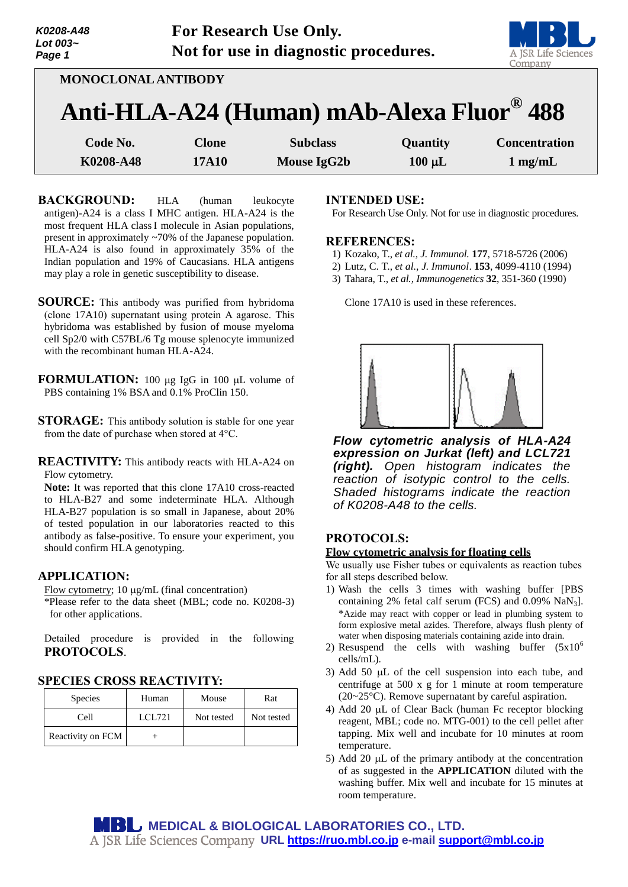| K0208-A48<br>Lot 003~<br>Page 1 | For Research Use Only.<br>Not for use in diagnostic procedures. | A JSR Life Sciences<br>Company |
|---------------------------------|-----------------------------------------------------------------|--------------------------------|
|                                 | MONOCLONAL ANTIBODY                                             |                                |
|                                 | Anti-HLA-A24 (Human) mAb-Alexa Fluor <sup>®</sup> 488           |                                |

| Code No.  | Clone        | <b>Subclass</b> | <b>Quantity</b> | <b>Concentration</b> |
|-----------|--------------|-----------------|-----------------|----------------------|
| K0208-A48 | <b>17A10</b> | Mouse IgG2b     | $100 \mu L$     | $1$ mg/mL            |

- **BACKGROUND:** HLA (human leukocyte antigen)-A24 is a class I MHC antigen. HLA-A24 is the most frequent HLA classI molecule in Asian populations, present in approximately ~70% of the Japanese population. HLA-A24 is also found in approximately 35% of the Indian population and 19% of Caucasians. HLA antigens may play a role in genetic susceptibility to disease.
- **SOURCE:** This antibody was purified from hybridoma (clone 17A10) supernatant using protein A agarose. This hybridoma was established by fusion of mouse myeloma cell Sp2/0 with C57BL/6 Tg mouse splenocyte immunized with the recombinant human HLA-A24.
- **FORMULATION:** 100 µg IgG in 100 µL volume of PBS containing 1% BSA and 0.1% ProClin 150.
- **STORAGE:** This antibody solution is stable for one year from the date of purchase when stored at 4°C.
- **REACTIVITY:** This antibody reacts with HLA-A24 on Flow cytometry.

**Note:** It was reported that this clone 17A10 cross-reacted to HLA-B27 and some indeterminate HLA. Although HLA-B27 population is so small in Japanese, about 20% of tested population in our laboratories reacted to this antibody as false-positive. To ensure your experiment, you should confirm HLA genotyping.

## **APPLICATION:**

Flow cytometry;  $10 \mu g/mL$  (final concentration)

\*Please refer to the data sheet (MBL; code no. K0208-3) for other applications.

Detailed procedure is provided in the following **PROTOCOLS**.

## **SPECIES CROSS REACTIVITY:**

| <b>Species</b>    | Human  | Mouse      | Rat        |
|-------------------|--------|------------|------------|
| Cell              | LCL721 | Not tested | Not tested |
| Reactivity on FCM |        |            |            |

### **INTENDED USE:**

For Research Use Only. Not for use in diagnostic procedures.

### **REFERENCES:**

- 1) Kozako, T., *et al., J. Immunol.* **177**, 5718-5726 (2006)
- 2) Lutz, C. T., *et al., J. Immunol*. **153**, 4099-4110 (1994)
- 3) Tahara, T., *et al., Immunogenetics* **32**, 351-360 (1990)

Clone 17A10 is used in these references.



*Flow cytometric analysis of HLA-A24 expression on Jurkat (left) and LCL721 (right). Open histogram indicates the reaction of isotypic control to the cells. Shaded histograms indicate the reaction of K0208-A48 to the cells.* 

# **PROTOCOLS:**

## **Flow cytometric analysis for floating cells**

We usually use Fisher tubes or equivalents as reaction tubes for all steps described below.

- 1) Wash the cells 3 times with washing buffer [PBS containing 2% fetal calf serum (FCS) and 0.09% NaN3]. \*Azide may react with copper or lead in plumbing system to form explosive metal azides. Therefore, always flush plenty of water when disposing materials containing azide into drain.
- 2) Resuspend the cells with washing buffer  $(5x10^6)$ cells/mL).
- 3) Add 50  $\mu$ L of the cell suspension into each tube, and centrifuge at 500 x g for 1 minute at room temperature (20~25°C). Remove supernatant by careful aspiration.
- 4) Add 20  $\mu$ L of Clear Back (human Fc receptor blocking reagent, MBL; code no. MTG-001) to the cell pellet after tapping. Mix well and incubate for 10 minutes at room temperature.
- 5) Add 20  $\mu$ L of the primary antibody at the concentration of as suggested in the **APPLICATION** diluted with the washing buffer. Mix well and incubate for 15 minutes at room temperature.